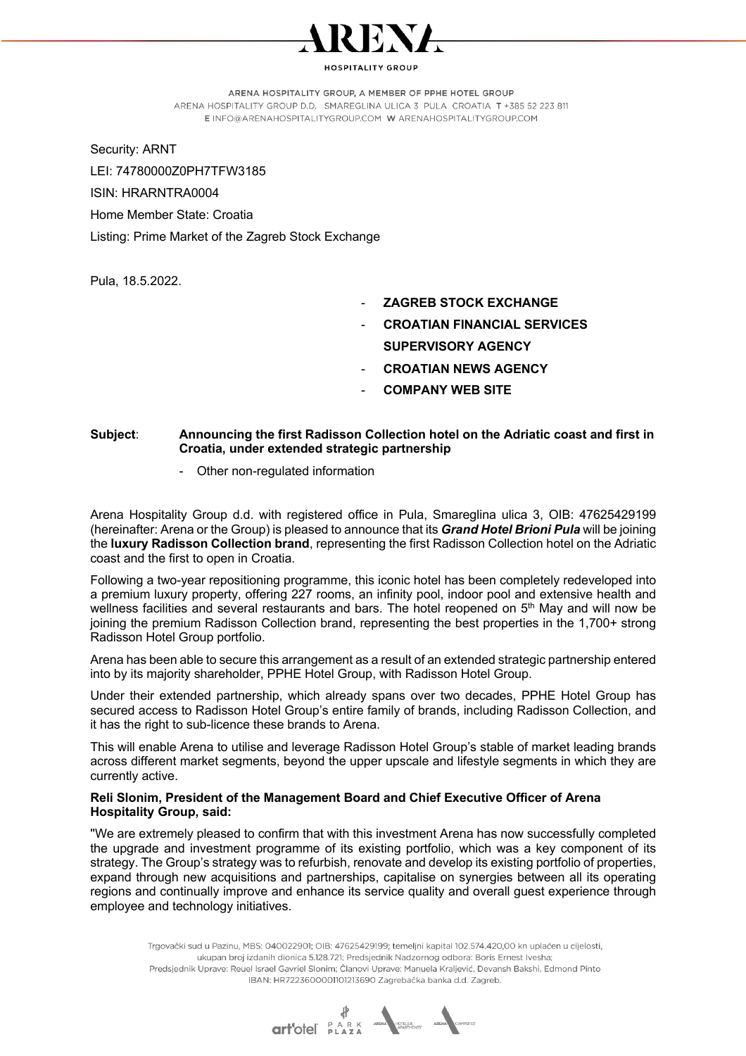

**IOSPITALITY GROUP** 

ARENA HOSPITALITY GROUP, A MEMBER OF PPHE HOTEL GROUP

ARENA HOSPITALITY GROUP D.D. SMAREGLINA ULICA 3 PULA CROATIA T +385 52 223 811 E INFO@ARENAHOSPITALITYGROUP.COM W ARENAHOSPITALITYGROUP.COM

Security: ARNT

LEI: 74780000Z0PH7TFW3185 ISIN: HRARNTRA0004 Home Member State: Croatia

Listing: Prime Market of the Zagreb Stock Exchange

Pula, 18.5.2022.

- **ZAGREB STOCK EXCHANGE**
- **CROATIAN FINANCIAL SERVICES SUPERVISORY AGENCY**
- **CROATIAN NEWS AGENCY**
- **COMPANY WEB SITE**

## **Subject**: **Announcing the first Radisson Collection hotel on the Adriatic coast and first in Croatia, under extended strategic partnership**

- Other non-regulated information

Arena Hospitality Group d.d. with registered office in Pula, Smareglina ulica 3, OIB: 47625429199 (hereinafter: Arena or the Group) is pleased to announce that its *Grand Hotel Brioni Pula* will be joining the **luxury Radisson Collection brand**, representing the first Radisson Collection hotel on the Adriatic coast and the first to open in Croatia.

Following a two-year repositioning programme, this iconic hotel has been completely redeveloped into a premium luxury property, offering 227 rooms, an infinity pool, indoor pool and extensive health and wellness facilities and several restaurants and bars. The hotel reopened on  $5<sup>th</sup>$  May and will now be joining the premium Radisson Collection brand, representing the best properties in the 1,700+ strong Radisson Hotel Group portfolio.

Arena has been able to secure this arrangement as a result of an extended strategic partnership entered into by its majority shareholder, PPHE Hotel Group, with Radisson Hotel Group.

Under their extended partnership, which already spans over two decades, PPHE Hotel Group has secured access to Radisson Hotel Group's entire family of brands, including Radisson Collection, and it has the right to sub-licence these brands to Arena.

This will enable Arena to utilise and leverage Radisson Hotel Group's stable of market leading brands across different market segments, beyond the upper upscale and lifestyle segments in which they are currently active.

## **Reli Slonim, President of the Management Board and Chief Executive Officer of Arena Hospitality Group, said:**

''We are extremely pleased to confirm that with this investment Arena has now successfully completed the upgrade and investment programme of its existing portfolio, which was a key component of its strategy. The Group's strategy was to refurbish, renovate and develop its existing portfolio of properties, expand through new acquisitions and partnerships, capitalise on synergies between all its operating regions and continually improve and enhance its service quality and overall guest experience through employee and technology initiatives.

Trgovački sud u Pazinu, MBS: 040022901; OIB: 47625429199; temeljni kapital 102.574.420,00 kn uplaćen u cijelosti, ukupan broj izdanih dionica 5.128.721; Predsjednik Nadzornog odbora: Boris Ernest Ivesha; Predsjednik Uprave: Reuel Israel Gavriel Slonim; Članovi Uprave: Manuela Kraljević, Devansh Bakshi, Edmond Pinto IBAN: HR7223600001101213690 Zagrebačka banka d.d. Zagreb.

**Gribdel** PARK AREA PORTS AREA